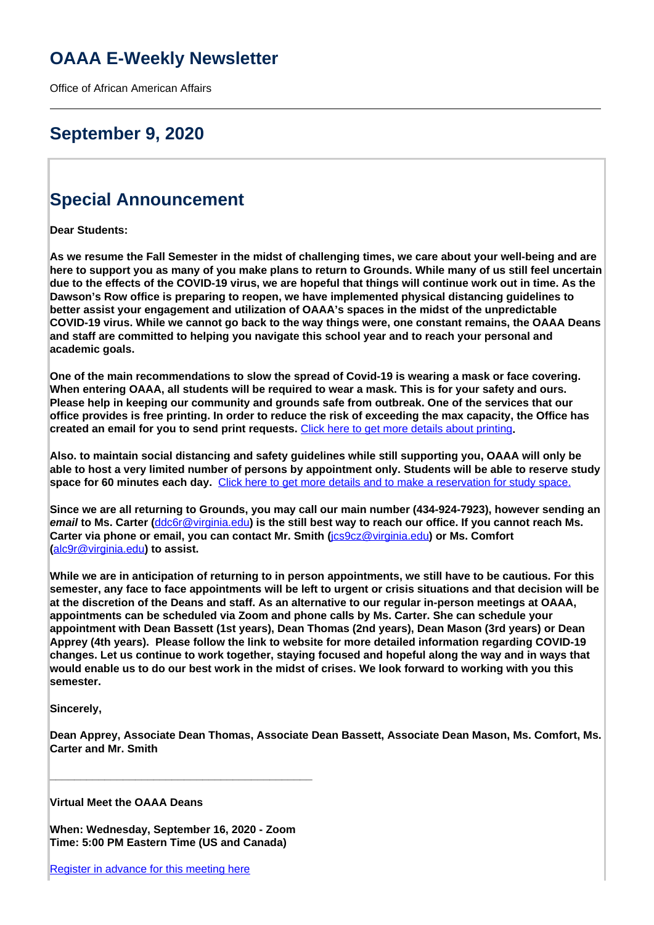# **OAAA E-Weekly Newsletter**

Office of African American Affairs

# **September 9, 2020**

# **Special Announcement**

**Dear Students:**

**As we resume the Fall Semester in the midst of challenging times, we care about your well-being and are here to support you as many of you make plans to return to Grounds. While many of us still feel uncertain due to the effects of the COVID-19 virus, we are hopeful that things will continue work out in time. As the Dawson's Row office is preparing to reopen, we have implemented physical distancing guidelines to better assist your engagement and utilization of OAAA's spaces in the midst of the unpredictable COVID-19 virus. While we cannot go back to the way things were, one constant remains, the OAAA Deans and staff are committed to helping you navigate this school year and to reach your personal and academic goals.** 

**One of the main recommendations to slow the spread of Covid-19 is wearing a mask or face covering. When entering OAAA, all students will be required to wear a mask. This is for your safety and ours. Please help in keeping our community and grounds safe from outbreak. One of the services that our office provides is free printing. In order to reduce the risk of exceeding the max capacity, the Office has created an email for you to send print requests.** [Click here to get more details about printing](http://oaaa.virginia.edu/printing-oaaa)**.**

**Also. to maintain social distancing and safety guidelines while still supporting you, OAAA will only be able to host a very limited number of persons by appointment only. Students will be able to reserve study space for 60 minutes each day.** Click here to get more details and to make a reservation for study space.

**Since we are all returning to Grounds, you may call our main number (434-924-7923), however sending an email to Ms. Carter (**ddc6r@virginia.edu**) is the still best way to reach our office. If you cannot reach Ms. Carter via phone or email, you can contact Mr. Smith (**jcs9cz@virginia.edu**) or Ms. Comfort (**alc9r@virginia.edu**) to assist.**

**While we are in anticipation of returning to in person appointments, we still have to be cautious. For this semester, any face to face appointments will be left to urgent or crisis situations and that decision will be at the discretion of the Deans and staff. As an alternative to our regular in-person meetings at OAAA, appointments can be scheduled via Zoom and phone calls by Ms. Carter. She can schedule your appointment with Dean Bassett (1st years), Dean Thomas (2nd years), Dean Mason (3rd years) or Dean Apprey (4th years). Please follow the link to website for more detailed information regarding COVID-19 changes. Let us continue to work together, staying focused and hopeful along the way and in ways that would enable us to do our best work in the midst of crises. We look forward to working with you this semester.**

**Sincerely,**

**Dean Apprey, Associate Dean Thomas, Associate Dean Bassett, Associate Dean Mason, Ms. Comfort, Ms. Carter and Mr. Smith**

**Virtual Meet the OAAA Deans**

**When: Wednesday, September 16, 2020 - Zoom Time: 5:00 PM Eastern Time (US and Canada)**

**\_\_\_\_\_\_\_\_\_\_\_\_\_\_\_\_\_\_\_\_\_\_\_\_\_\_\_\_\_\_\_\_\_\_\_\_\_\_\_\_\_\_\_**

Register in advance for this meeting here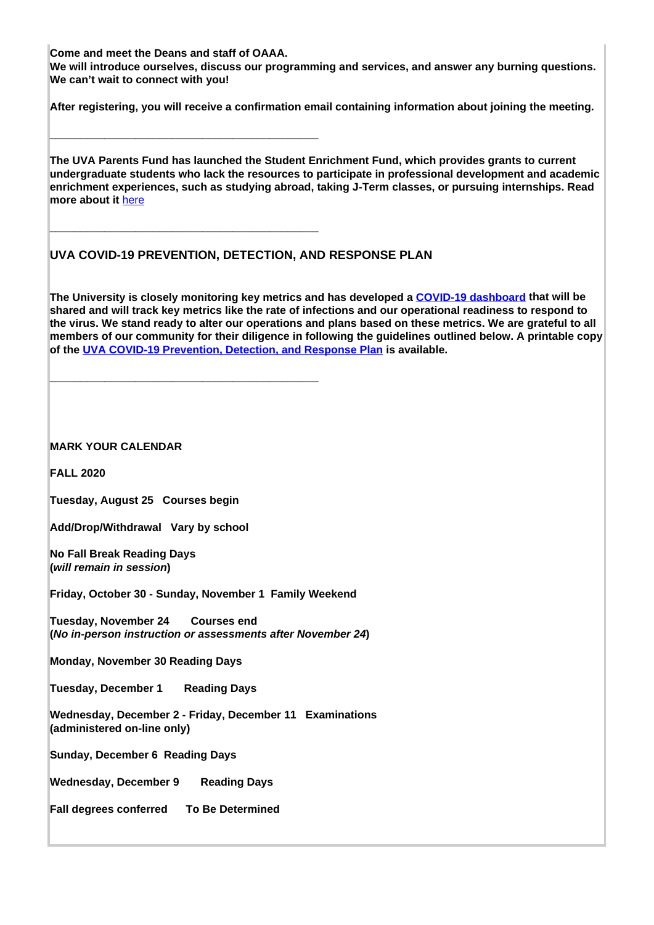**Come and meet the Deans and staff of OAAA.** 

**\_\_\_\_\_\_\_\_\_\_\_\_\_\_\_\_\_\_\_\_\_\_\_\_\_\_\_\_\_\_\_\_\_\_\_\_\_\_\_\_\_\_\_\_**

**\_\_\_\_\_\_\_\_\_\_\_\_\_\_\_\_\_\_\_\_\_\_\_\_\_\_\_\_\_\_\_\_\_\_\_\_\_\_\_\_\_\_\_\_**

**\_\_\_\_\_\_\_\_\_\_\_\_\_\_\_\_\_\_\_\_\_\_\_\_\_\_\_\_\_\_\_\_\_\_\_\_\_\_\_\_\_\_\_\_**

**We will introduce ourselves, discuss our programming and services, and answer any burning questions. We can't wait to connect with you!**

**After registering, you will receive a confirmation email containing information about joining the meeting.**

**The UVA Parents Fund has launched the Student Enrichment Fund, which provides grants to current undergraduate students who lack the resources to participate in professional development and academic enrichment experiences, such as studying abroad, taking J-Term classes, or pursuing internships. Read more about it** here

## **UVA COVID-19 PREVENTION, DETECTION, AND RESPONSE PLAN**

**The University is closely monitoring key metrics and has developed a COVID-19 dashboard that will be shared and will track key metrics like the rate of infections and our operational readiness to respond to the virus. We stand ready to alter our operations and plans based on these metrics. We are grateful to all members of our community for their diligence in following the guidelines outlined below. A printable copy of the UVA COVID-19 Prevention, Detection, and Response Plan is available.** 

**MARK YOUR CALENDAR**

**FALL 2020**

**Tuesday, August 25 Courses begin**

**Add/Drop/Withdrawal Vary by school**

**No Fall Break Reading Days (will remain in session)**

**Friday, October 30 - Sunday, November 1 Family Weekend** 

**Tuesday, November 24 Courses end (No in-person instruction or assessments after November 24)**

**Monday, November 30 Reading Days**

**Tuesday, December 1 Reading Days**

**Wednesday, December 2 - Friday, December 11 Examinations (administered on-line only)** 

**Sunday, December 6 Reading Days**

**Wednesday, December 9 Reading Days**

**Fall degrees conferred To Be Determined**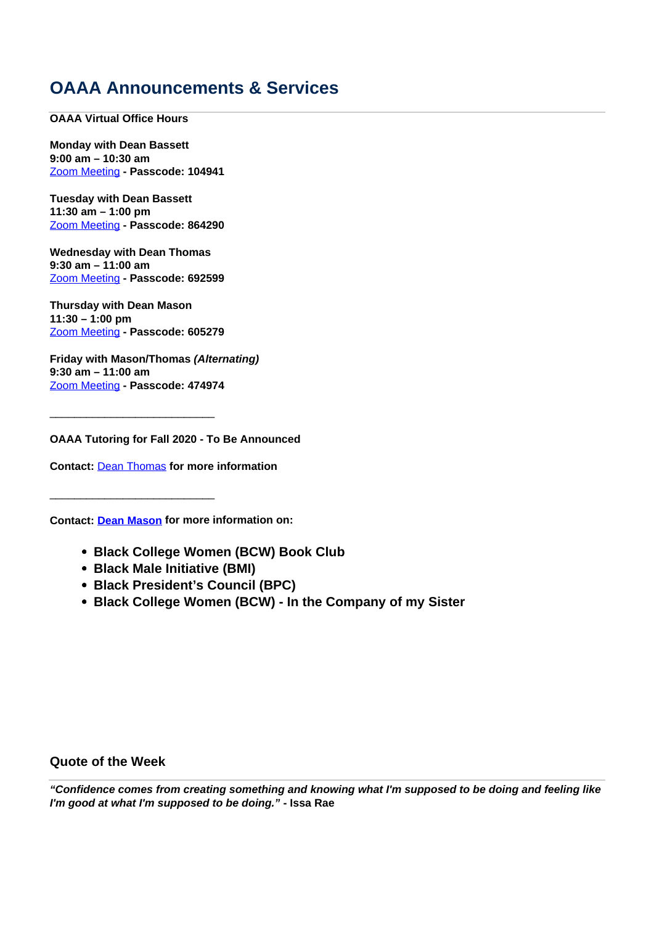# **OAAA Announcements & Services**

**OAAA Virtual Office Hours**

**Monday with Dean Bassett 9:00 am – 10:30 am** Zoom Meeting **- Passcode: 104941**

**Tuesday with Dean Bassett 11:30 am – 1:00 pm** Zoom Meeting **- Passcode: 864290**

**Wednesday with Dean Thomas 9:30 am – 11:00 am** Zoom Meeting **- Passcode: 692599**

**Thursday with Dean Mason 11:30 – 1:00 pm** Zoom Meeting **- Passcode: 605279**

\_\_\_\_\_\_\_\_\_\_\_\_\_\_\_\_\_\_\_\_\_\_\_\_\_\_\_

\_\_\_\_\_\_\_\_\_\_\_\_\_\_\_\_\_\_\_\_\_\_\_\_\_\_\_

**Friday with Mason/Thomas (Alternating) 9:30 am – 11:00 am** Zoom Meeting **- Passcode: 474974**

**OAAA Tutoring for Fall 2020 - To Be Announced**

**Contact:** Dean Thomas **for more information**

**Contact: Dean Mason for more information on:** 

- **Black College Women (BCW) Book Club**
- **Black Male Initiative (BMI)**
- **Black President's Council (BPC)**
- **Black College Women (BCW) In the Company of my Sister**

**Quote of the Week**

**"Confidence comes from creating something and knowing what I'm supposed to be doing and feeling like I'm good at what I'm supposed to be doing." - Issa Rae**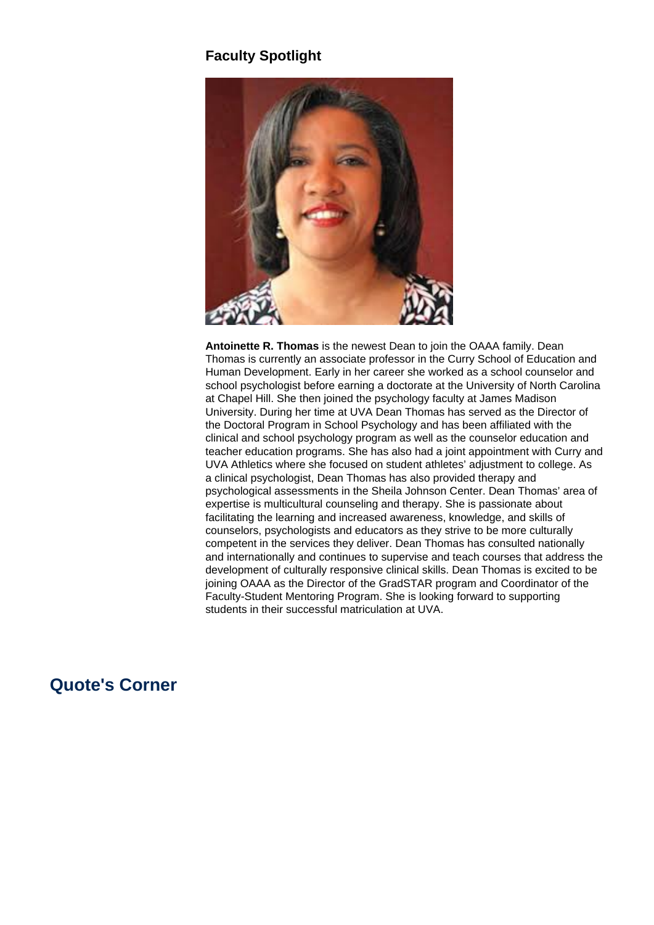## **Faculty Spotlight**



**Antoinette R. Thomas** is the newest Dean to join the OAAA family. Dean Thomas is currently an associate professor in the Curry School of Education and Human Development. Early in her career she worked as a school counselor and school psychologist before earning a doctorate at the University of North Carolina at Chapel Hill. She then joined the psychology faculty at James Madison University. During her time at UVA Dean Thomas has served as the Director of the Doctoral Program in School Psychology and has been affiliated with the clinical and school psychology program as well as the counselor education and teacher education programs. She has also had a joint appointment with Curry and UVA Athletics where she focused on student athletes' adjustment to college. As a clinical psychologist, Dean Thomas has also provided therapy and psychological assessments in the Sheila Johnson Center. Dean Thomas' area of expertise is multicultural counseling and therapy. She is passionate about facilitating the learning and increased awareness, knowledge, and skills of counselors, psychologists and educators as they strive to be more culturally competent in the services they deliver. Dean Thomas has consulted nationally and internationally and continues to supervise and teach courses that address the development of culturally responsive clinical skills. Dean Thomas is excited to be joining OAAA as the Director of the GradSTAR program and Coordinator of the Faculty-Student Mentoring Program. She is looking forward to supporting students in their successful matriculation at UVA.

## **Quote's Corner**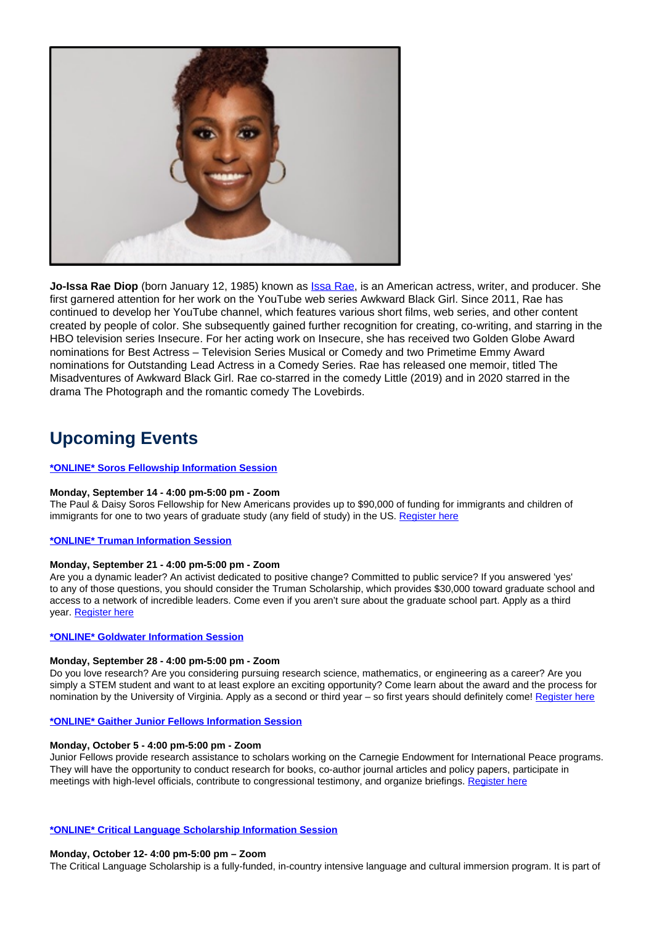

**Jo-Issa Rae Diop** (born January 12, 1985) known as Issa Rae, is an American actress, writer, and producer. She first garnered attention for her work on the YouTube web series Awkward Black Girl. Since 2011, Rae has continued to develop her YouTube channel, which features various short films, web series, and other content created by people of color. She subsequently gained further recognition for creating, co-writing, and starring in the HBO television series Insecure. For her acting work on Insecure, she has received two Golden Globe Award nominations for Best Actress – Television Series Musical or Comedy and two Primetime Emmy Award nominations for Outstanding Lead Actress in a Comedy Series. Rae has released one memoir, titled The Misadventures of Awkward Black Girl. Rae co-starred in the comedy Little (2019) and in 2020 starred in the drama The Photograph and the romantic comedy The Lovebirds.

# **Upcoming Events**

### **\*ONLINE\* Soros Fellowship Information Session**

### **Monday, September 14 - 4:00 pm-5:00 pm - Zoom**

The Paul & Daisy Soros Fellowship for New Americans provides up to \$90,000 of funding for immigrants and children of immigrants for one to two years of graduate study (any field of study) in the US. Register here

### **\*ONLINE\* Truman Information Session**

### **Monday, September 21 - 4:00 pm-5:00 pm - Zoom**

Are you a dynamic leader? An activist dedicated to positive change? Committed to public service? If you answered 'yes' to any of those questions, you should consider the Truman Scholarship, which provides \$30,000 toward graduate school and access to a network of incredible leaders. Come even if you aren't sure about the graduate school part. Apply as a third year. Register here

### **\*ONLINE\* Goldwater Information Session**

### **Monday, September 28 - 4:00 pm-5:00 pm - Zoom**

Do you love research? Are you considering pursuing research science, mathematics, or engineering as a career? Are you simply a STEM student and want to at least explore an exciting opportunity? Come learn about the award and the process for nomination by the University of Virginia. Apply as a second or third year – so first years should definitely come! Register here

### **\*ONLINE\* Gaither Junior Fellows Information Session**

## **Monday, October 5 - 4:00 pm-5:00 pm - Zoom**

Junior Fellows provide research assistance to scholars working on the Carnegie Endowment for International Peace programs. They will have the opportunity to conduct research for books, co-author journal articles and policy papers, participate in meetings with high-level officials, contribute to congressional testimony, and organize briefings. Register here

#### **\*ONLINE\* Critical Language Scholarship Information Session**

### **Monday, October 12- 4:00 pm-5:00 pm – Zoom**

The Critical Language Scholarship is a fully-funded, in-country intensive language and cultural immersion program. It is part of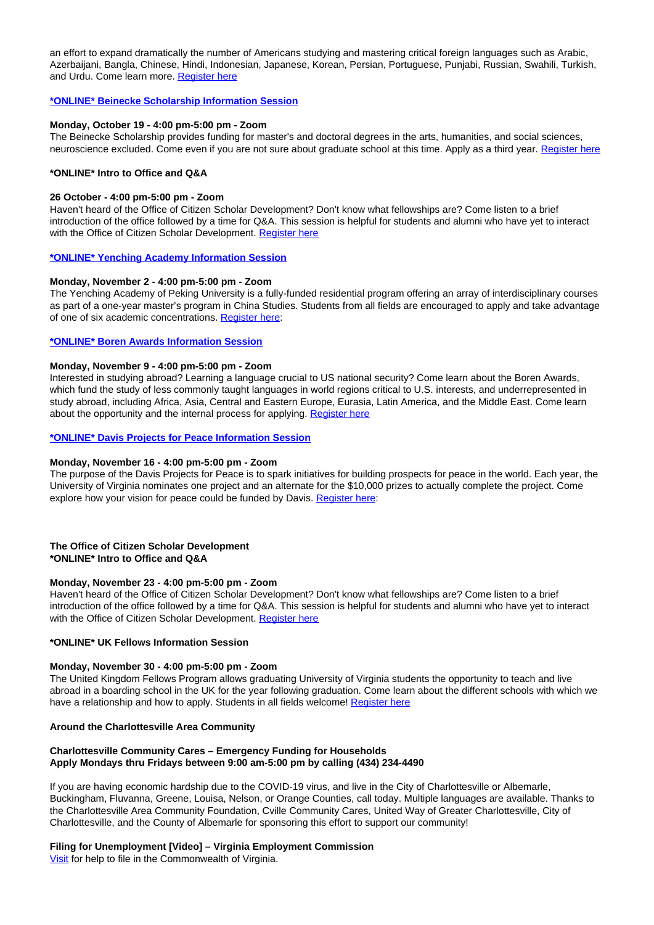an effort to expand dramatically the number of Americans studying and mastering critical foreign languages such as Arabic, Azerbaijani, Bangla, Chinese, Hindi, Indonesian, Japanese, Korean, Persian, Portuguese, Punjabi, Russian, Swahili, Turkish, and Urdu. Come learn more. Register here

## **\*ONLINE\* Beinecke Scholarship Information Session**

#### **Monday, October 19 - 4:00 pm-5:00 pm - Zoom**

The Beinecke Scholarship provides funding for master's and doctoral degrees in the arts, humanities, and social sciences, neuroscience excluded. Come even if you are not sure about graduate school at this time. Apply as a third year. Register here

## **\*ONLINE\* Intro to Office and Q&A**

## **26 October - 4:00 pm-5:00 pm - Zoom**

Haven't heard of the Office of Citizen Scholar Development? Don't know what fellowships are? Come listen to a brief introduction of the office followed by a time for Q&A. This session is helpful for students and alumni who have yet to interact with the Office of Citizen Scholar Development. Register here

#### **\*ONLINE\* Yenching Academy Information Session**

## **Monday, November 2 - 4:00 pm-5:00 pm - Zoom**

The Yenching Academy of Peking University is a fully-funded residential program offering an array of interdisciplinary courses as part of a one-year master's program in China Studies. Students from all fields are encouraged to apply and take advantage of one of six academic concentrations. Register here:

#### **\*ONLINE\* Boren Awards Information Session**

#### **Monday, November 9 - 4:00 pm-5:00 pm - Zoom**

Interested in studying abroad? Learning a language crucial to US national security? Come learn about the Boren Awards, which fund the study of less commonly taught languages in world regions critical to U.S. interests, and underrepresented in study abroad, including Africa, Asia, Central and Eastern Europe, Eurasia, Latin America, and the Middle East. Come learn about the opportunity and the internal process for applying. Register here

#### **\*ONLINE\* Davis Projects for Peace Information Session**

#### **Monday, November 16 - 4:00 pm-5:00 pm - Zoom**

The purpose of the Davis Projects for Peace is to spark initiatives for building prospects for peace in the world. Each year, the University of Virginia nominates one project and an alternate for the \$10,000 prizes to actually complete the project. Come explore how your vision for peace could be funded by Davis. Register here:

### **The Office of Citizen Scholar Development \*ONLINE\* Intro to Office and Q&A**

#### **Monday, November 23 - 4:00 pm-5:00 pm - Zoom**

Haven't heard of the Office of Citizen Scholar Development? Don't know what fellowships are? Come listen to a brief introduction of the office followed by a time for Q&A. This session is helpful for students and alumni who have yet to interact with the Office of Citizen Scholar Development. Register here

## **\*ONLINE\* UK Fellows Information Session**

## **Monday, November 30 - 4:00 pm-5:00 pm - Zoom**

The United Kingdom Fellows Program allows graduating University of Virginia students the opportunity to teach and live abroad in a boarding school in the UK for the year following graduation. Come learn about the different schools with which we have a relationship and how to apply. Students in all fields welcome! Register here

#### **Around the Charlottesville Area Community**

### **Charlottesville Community Cares – Emergency Funding for Households Apply Mondays thru Fridays between 9:00 am-5:00 pm by calling (434) 234-4490**

If you are having economic hardship due to the COVID-19 virus, and live in the City of Charlottesville or Albemarle, Buckingham, Fluvanna, Greene, Louisa, Nelson, or Orange Counties, call today. Multiple languages are available. Thanks to the Charlottesville Area Community Foundation, Cville Community Cares, United Way of Greater Charlottesville, City of Charlottesville, and the County of Albemarle for sponsoring this effort to support our community!

#### **Filing for Unemployment [Video] – Virginia Employment Commission**

Visit for help to file in the Commonwealth of Virginia.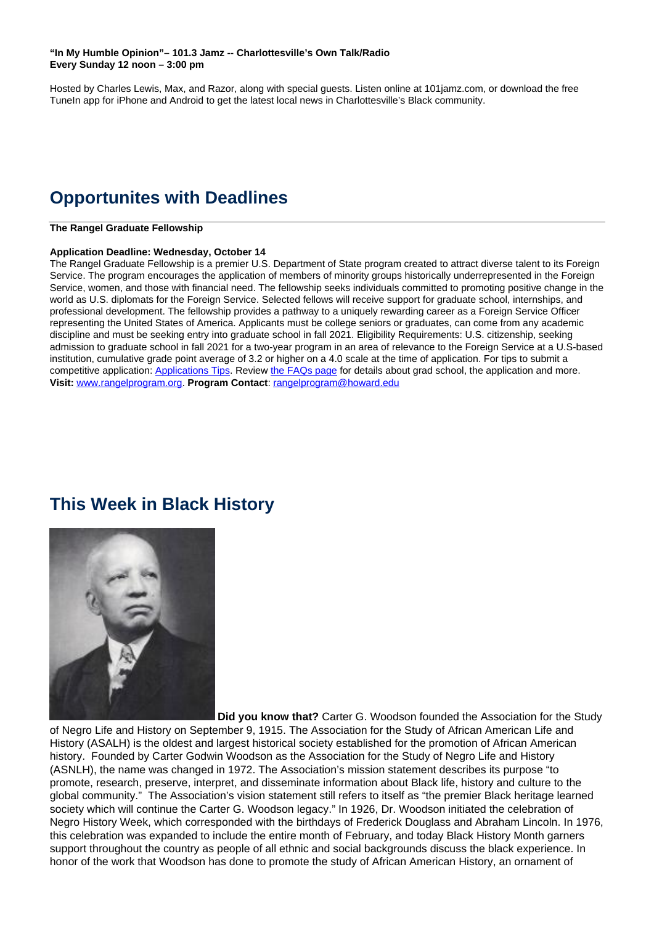## **"In My Humble Opinion"– 101.3 Jamz -- Charlottesville's Own Talk/Radio Every Sunday 12 noon – 3:00 pm**

Hosted by Charles Lewis, Max, and Razor, along with special guests. Listen online at 101jamz.com, or download the free TuneIn app for iPhone and Android to get the latest local news in Charlottesville's Black community.

# **Opportunites with Deadlines**

**The Rangel Graduate Fellowship** 

## **Application Deadline: Wednesday, October 14**

The Rangel Graduate Fellowship is a premier U.S. Department of State program created to attract diverse talent to its Foreign Service. The program encourages the application of members of minority groups historically underrepresented in the Foreign Service, women, and those with financial need. The fellowship seeks individuals committed to promoting positive change in the world as U.S. diplomats for the Foreign Service. Selected fellows will receive support for graduate school, internships, and professional development. The fellowship provides a pathway to a uniquely rewarding career as a Foreign Service Officer representing the United States of America. Applicants must be college seniors or graduates, can come from any academic discipline and must be seeking entry into graduate school in fall 2021. Eligibility Requirements: U.S. citizenship, seeking admission to graduate school in fall 2021 for a two-year program in an area of relevance to the Foreign Service at a U.S-based institution, cumulative grade point average of 3.2 or higher on a 4.0 scale at the time of application. For tips to submit a competitive application: Applications Tips. Review the FAQs page for details about grad school, the application and more. **Visit:** www.rangelprogram.org. **Program Contact**: rangelprogram@howard.edu

## **This Week in Black History**



 **Did you know that?** Carter G. Woodson founded the Association for the Study of Negro Life and History on September 9, 1915. The Association for the Study of African American Life and History (ASALH) is the oldest and largest historical society established for the promotion of African American history. Founded by Carter Godwin Woodson as the Association for the Study of Negro Life and History (ASNLH), the name was changed in 1972. The Association's mission statement describes its purpose "to promote, research, preserve, interpret, and disseminate information about Black life, history and culture to the global community." The Association's vision statement still refers to itself as "the premier Black heritage learned society which will continue the Carter G. Woodson legacy." In 1926, Dr. Woodson initiated the celebration of Negro History Week, which corresponded with the birthdays of Frederick Douglass and Abraham Lincoln. In 1976, this celebration was expanded to include the entire month of February, and today Black History Month garners support throughout the country as people of all ethnic and social backgrounds discuss the black experience. In honor of the work that Woodson has done to promote the study of African American History, an ornament of